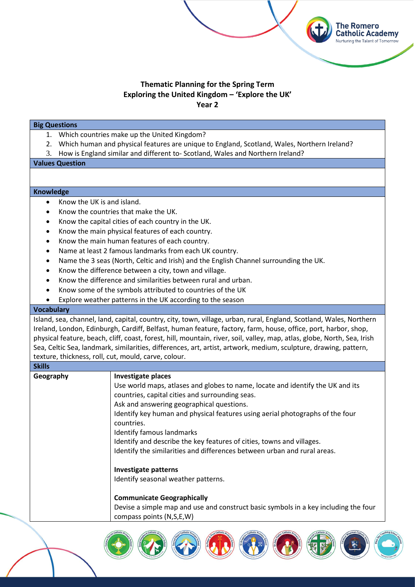## **Thematic Planning for the Spring Term Exploring the United Kingdom – 'Explore the UK' Year 2**

**The Romero Catholic Academy** Nurturing the Talent of Tomorrow

## **Big Questions**

- 1. Which countries make up the United Kingdom?
- 2. Which human and physical features are unique to England, Scotland, Wales, Northern Ireland?
- 3. How is England similar and different to- Scotland, Wales and Northern Ireland?

**Values Question**

## **Knowledge**

- Know the UK is and island.
- Know the countries that make the UK.
- Know the capital cities of each country in the UK.
- Know the main physical features of each country.
- Know the main human features of each country.
- Name at least 2 famous landmarks from each UK country.
- Name the 3 seas (North, Celtic and Irish) and the English Channel surrounding the UK.
- Know the difference between a city, town and village.
- Know the difference and similarities between rural and urban.
- Know some of the symbols attributed to countries of the UK
- Explore weather patterns in the UK according to the season

## **Vocabulary**

Island, sea, channel, land, capital, country, city, town, village, urban, rural, England, Scotland, Wales, Northern Ireland, London, Edinburgh, Cardiff, Belfast, human feature, factory, farm, house, office, port, harbor, shop, physical feature, beach, cliff, coast, forest, hill, mountain, river, soil, valley, map, atlas, globe, North, Sea, Irish Sea, Celtic Sea, landmark, similarities, differences, art, artist, artwork, medium, sculpture, drawing, pattern, texture, thickness, roll, cut, mould, carve, colour.

| <b>Skills</b> |                                                                                                                                   |
|---------------|-----------------------------------------------------------------------------------------------------------------------------------|
| Geography     | <b>Investigate places</b>                                                                                                         |
|               | Use world maps, atlases and globes to name, locate and identify the UK and its<br>countries, capital cities and surrounding seas. |
|               | Ask and answering geographical questions.                                                                                         |
|               |                                                                                                                                   |
|               | Identify key human and physical features using aerial photographs of the four<br>countries.                                       |
|               | <b>Identify famous landmarks</b>                                                                                                  |
|               | Identify and describe the key features of cities, towns and villages.                                                             |
|               | Identify the similarities and differences between urban and rural areas.                                                          |
|               | <b>Investigate patterns</b>                                                                                                       |
|               | Identify seasonal weather patterns.                                                                                               |
|               | <b>Communicate Geographically</b>                                                                                                 |
|               | Devise a simple map and use and construct basic symbols in a key including the four                                               |
|               | compass points (N,S,E,W)                                                                                                          |